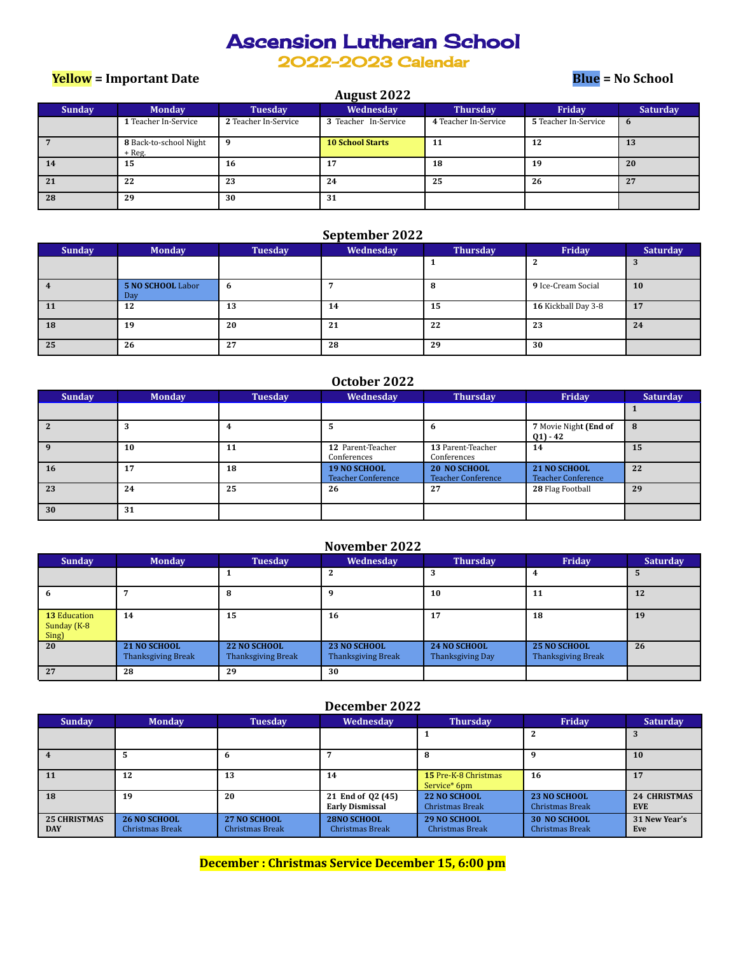# Ascension Lutheran School

2022-2023 Calendar

**August 2022**

**Yellow = Important Date Blue = No School**

|               |                                  |                      | <b>August 2022</b>      |                      |                      |                 |
|---------------|----------------------------------|----------------------|-------------------------|----------------------|----------------------|-----------------|
| <b>Sunday</b> | <b>Monday</b>                    | <b>Tuesday</b>       | <b>Wednesday</b>        | <b>Thursday</b>      | Friday               | <b>Saturday</b> |
|               | 1 Teacher In-Service             | 2 Teacher In-Service | 3 Teacher In-Service    | 4 Teacher In-Service | 5 Teacher In-Service | 6               |
|               | 8 Back-to-school Night<br>+ Reg. |                      | <b>10 School Starts</b> | 11                   | 12                   | 13              |
| 14            | 15                               | 16                   | 17                      | 18                   | 19                   | 20              |
| 21            | 22                               | 23                   | 24                      | 25                   | 26                   | 27              |
| 28            | 29                               | 30                   | 31                      |                      |                      |                 |

#### **September 2022**

| <b>Sunday</b> | <b>Monday</b>            | <b>Tuesday</b> | Wednesday | <b>Thursday</b> | Friday              | <b>Saturday</b> |
|---------------|--------------------------|----------------|-----------|-----------------|---------------------|-----------------|
|               |                          |                |           |                 |                     |                 |
|               | 5 NO SCHOOL Labor<br>Day | b              |           | -8              | 9 Ice-Cream Social  | <b>10</b>       |
| 11            | 12                       | 13             | 14        | 15              | 16 Kickball Day 3-8 | 17              |
| 18            | 19                       | 20             | 21        | 22              | 23                  | 24              |
| 25            | 26                       | 27             | 28        | 29              | 30                  |                 |

| October 2022 |  |
|--------------|--|
|--------------|--|

| <b>Sunday</b> | <b>Monday</b> | <b>Tuesday</b> | Wednesday                          | <b>Thursday</b>                                  | Friday                                           | <b>Saturday</b> |
|---------------|---------------|----------------|------------------------------------|--------------------------------------------------|--------------------------------------------------|-----------------|
|               |               |                |                                    |                                                  |                                                  |                 |
|               |               |                |                                    | 6                                                | 7 Movie Night (End of<br>$(21) - 42$             | x               |
|               | 10            | 11             | 12 Parent-Teacher<br>Conferences   | 13 Parent-Teacher<br>Conferences                 | 14                                               | 15              |
| 16            | 17            | 18             | 19 NO SCHOOL<br>Teacher Conference | <b>20 NO SCHOOL</b><br><b>Teacher Conference</b> | <b>21 NO SCHOOL</b><br><b>Teacher Conference</b> | 22              |
| 23            | 24            | 25             | 26                                 | 27                                               | 28 Flag Football                                 | 29              |
| 30            | 31            |                |                                    |                                                  |                                                  |                 |

### **November 2022**

| <b>Sunday</b>                               | <b>Monday</b>                                    | <b>Tuesday</b>                                   | Wednesday                                 | <b>Thursday</b>                         | Friday                                    | <b>Saturday</b> |
|---------------------------------------------|--------------------------------------------------|--------------------------------------------------|-------------------------------------------|-----------------------------------------|-------------------------------------------|-----------------|
|                                             |                                                  |                                                  |                                           | 3                                       | 4                                         |                 |
|                                             |                                                  | 8                                                |                                           | 10                                      | 11                                        | 12              |
| <b>13 Education</b><br>Sunday (K-8<br>Sing) | 14                                               | 15                                               | 16                                        | 17                                      | 18                                        | 19              |
| 20                                          | <b>21 NO SCHOOL</b><br><b>Thanksgiving Break</b> | <b>22 NO SCHOOL</b><br><b>Thanksgiving Break</b> | 23 NO SCHOOL<br><b>Thanksgiving Break</b> | <b>24 NO SCHOOL</b><br>Thanksgiving Day | 25 NO SCHOOL<br><b>Thanksgiving Break</b> | 26              |
| 27                                          | 28                                               | 29                                               | 30                                        |                                         |                                           |                 |

### **December 2022**

| <b>Sunday</b>                     | <b>Monday</b>                          | <b>Tuesday</b>                                | Wednesday                                   | <b>Thursday</b>                             | <b>Friday</b>                          | <b>Saturday</b>                   |
|-----------------------------------|----------------------------------------|-----------------------------------------------|---------------------------------------------|---------------------------------------------|----------------------------------------|-----------------------------------|
|                                   |                                        |                                               |                                             |                                             |                                        |                                   |
|                                   |                                        | n                                             |                                             |                                             |                                        | <b>10</b>                         |
| <b>11</b>                         | 12                                     | 13                                            | 14                                          | <b>15 Pre-K-8 Christmas</b><br>Service* 6pm | 16                                     |                                   |
| 18                                | 19                                     | 20                                            | 21 End of 02 (45)<br><b>Early Dismissal</b> | 22 NO SCHOOL<br>Christmas Break             | <b>23 NO SCHOOL</b><br>Christmas Break | <b>24 CHRISTMAS</b><br><b>EVE</b> |
| <b>25 CHRISTMAS</b><br><b>DAY</b> | <b>26 NO SCHOOL</b><br>Christmas Break | <b>27 NO SCHOOL</b><br><b>Christmas Break</b> | <b>28NO SCHOOL</b><br>Christmas Break       | <b>29 NO SCHOOL</b><br>Christmas Break      | <b>30 NO SCHOOL</b><br>Christmas Break | 31 New Year's<br>Eve              |

**December : Christmas Service December 15, 6:00 pm**